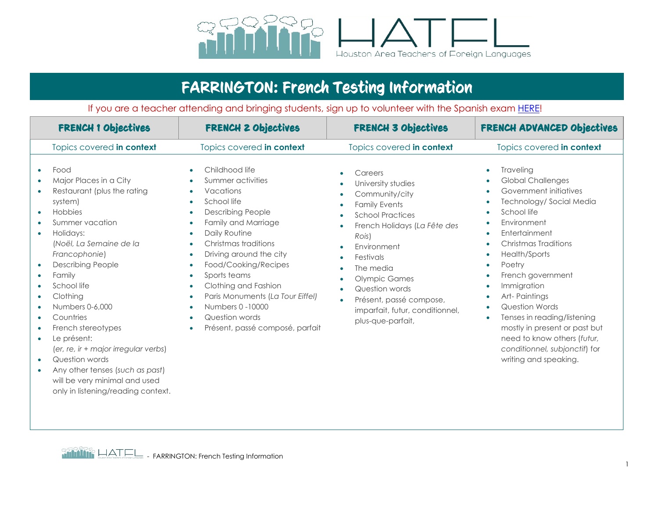

## FARRINGTON: French Testing Information

If you are a teacher attending and bringing students, sign up to volunteer with the Spanish exam [HERE!](https://docs.google.com/forms/d/e/1FAIpQLScoo7HlmKxWEZGoMFf90ZijSkcZEO-Lh7BguTwpk3R_cqT0wA/viewform?usp=sf_link)

| <b>FRENCH 1 Objectives</b>                                                                                                                                                                                                                                                                                                                                                                                                                                                                                       | <b>FRENCH 2 Objectives</b>                                                                                                                                                                                                                                                                                                                                                                                                                        | <b>FRENCH 3 Objectives</b>                                                                                                                                                                                                                                                                                                                                                                                                | FRENCH ADVANCED Objectives                                                                                                                                                                                                                                                                                                                                                                                                                                                                                                                                                                                                |
|------------------------------------------------------------------------------------------------------------------------------------------------------------------------------------------------------------------------------------------------------------------------------------------------------------------------------------------------------------------------------------------------------------------------------------------------------------------------------------------------------------------|---------------------------------------------------------------------------------------------------------------------------------------------------------------------------------------------------------------------------------------------------------------------------------------------------------------------------------------------------------------------------------------------------------------------------------------------------|---------------------------------------------------------------------------------------------------------------------------------------------------------------------------------------------------------------------------------------------------------------------------------------------------------------------------------------------------------------------------------------------------------------------------|---------------------------------------------------------------------------------------------------------------------------------------------------------------------------------------------------------------------------------------------------------------------------------------------------------------------------------------------------------------------------------------------------------------------------------------------------------------------------------------------------------------------------------------------------------------------------------------------------------------------------|
| Topics covered in context                                                                                                                                                                                                                                                                                                                                                                                                                                                                                        | Topics covered in context                                                                                                                                                                                                                                                                                                                                                                                                                         | Topics covered in context                                                                                                                                                                                                                                                                                                                                                                                                 | Topics covered in context                                                                                                                                                                                                                                                                                                                                                                                                                                                                                                                                                                                                 |
| Food<br>$\bullet$<br>Major Places in a City<br>Restaurant (plus the rating<br>system)<br>Hobbies<br>$\bullet$<br>Summer vacation<br>Holidays:<br>(Noël, La Semaine de la<br>Francophonie)<br><b>Describing People</b><br>Family<br>School life<br>Clothing<br>Numbers 0-6,000<br>Countries<br>French stereotypes<br>Le présent:<br>$\bullet$<br>(er, re, ir + major irregular verbs)<br>Question words<br>Any other tenses (such as past)<br>will be very minimal and used<br>only in listening/reading context. | Childhood life<br>Summer activities<br>Vacations<br>School life<br>$\bullet$<br><b>Describing People</b><br>Family and Marriage<br>$\bullet$<br>Daily Routine<br>Christmas traditions<br>$\bullet$<br>Driving around the city<br>Food/Cooking/Recipes<br>Sports teams<br>$\bullet$<br>Clothing and Fashion<br>Paris Monuments (La Tour Eiffel)<br>$\bullet$<br>Numbers 0 -10000<br>Question words<br>$\bullet$<br>Présent, passé composé, parfait | Careers<br>$\bullet$<br>University studies<br>$\bullet$<br>Community/city<br>$\bullet$<br><b>Family Events</b><br>$\bullet$<br><b>School Practices</b><br>French Holidays (La Fête des<br>$\bullet$<br>Rois)<br>Environment<br>Festivals<br>$\bullet$<br>The media<br>$\bullet$<br><b>Olympic Games</b><br>Question words<br>$\bullet$<br>Présent, passé compose,<br>imparfait, futur, conditionnel,<br>plus-que-parfait, | Traveling<br>$\bullet$<br><b>Global Challenges</b><br>$\bullet$<br>Government initiatives<br>$\bullet$<br>Technology/Social Media<br>$\bullet$<br>School life<br>Environment<br>$\bullet$<br>Entertainment<br>$\bullet$<br>Christmas Traditions<br>$\bullet$<br>Health/Sports<br>$\bullet$<br>Poetry<br>$\bullet$<br>French government<br>$\bullet$<br>Immigration<br>$\bullet$<br>Art-Paintings<br>$\bullet$<br><b>Question Words</b><br>$\bullet$<br>Tenses in reading/listening<br>$\bullet$<br>mostly in present or past but<br>need to know others (futur,<br>conditionnel, subjonctif) for<br>writing and speaking. |

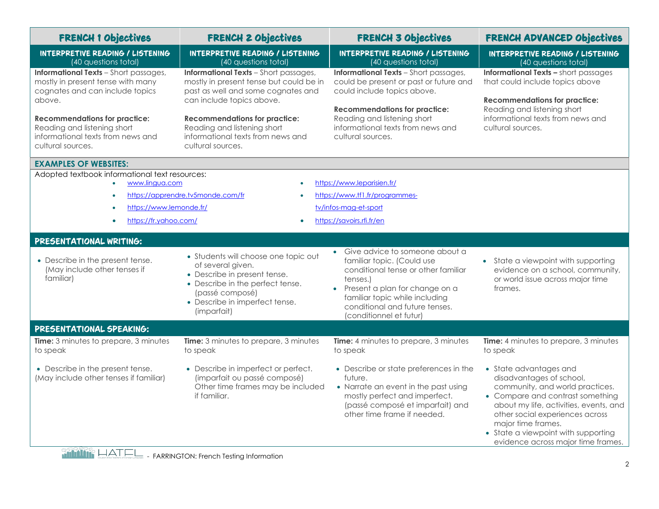| <b>FRENCH 1 Objectives</b>                                                                                                                                                                                                                                      | <b>FRENCH 2 Objectives</b>                                                                                                                                                                                                                                                                  | <b>FRENCH 3 Objectives</b>                                                                                                                                                                                                                                    | <b>FRENCH ADVANCED Objectives</b>                                                                                                                                                                                                                                                                         |  |
|-----------------------------------------------------------------------------------------------------------------------------------------------------------------------------------------------------------------------------------------------------------------|---------------------------------------------------------------------------------------------------------------------------------------------------------------------------------------------------------------------------------------------------------------------------------------------|---------------------------------------------------------------------------------------------------------------------------------------------------------------------------------------------------------------------------------------------------------------|-----------------------------------------------------------------------------------------------------------------------------------------------------------------------------------------------------------------------------------------------------------------------------------------------------------|--|
| <b>INTERPRETIVE READING / LISTENING</b><br>(40 questions total)                                                                                                                                                                                                 | <b>INTERPRETIVE READING / LISTENING</b><br>(40 questions total)                                                                                                                                                                                                                             | <b>INTERPRETIVE READING / LISTENING</b><br>(40 questions total)                                                                                                                                                                                               | <b>INTERPRETIVE READING / LISTENING</b><br>(40 questions total)                                                                                                                                                                                                                                           |  |
| <b>Informational Texts</b> - Short passages,<br>mostly in present tense with many<br>cognates and can include topics<br>above.<br><b>Recommendations for practice:</b><br>Reading and listening short<br>informational texts from news and<br>cultural sources. | <b>Informational Texts</b> - Short passages,<br>mostly in present tense but could be in<br>past as well and some cognates and<br>can include topics above.<br><b>Recommendations for practice:</b><br>Reading and listening short<br>informational texts from news and<br>cultural sources. | <b>Informational Texts</b> - Short passages,<br>could be present or past or future and<br>could include topics above.<br><b>Recommendations for practice:</b><br>Reading and listening short<br>informational texts from news and<br>cultural sources.        | <b>Informational Texts - short passages</b><br>that could include topics above<br><b>Recommendations for practice:</b><br>Reading and listening short<br>informational texts from news and<br>cultural sources.                                                                                           |  |
| <b>EXAMPLES OF WEBSITES:</b>                                                                                                                                                                                                                                    |                                                                                                                                                                                                                                                                                             |                                                                                                                                                                                                                                                               |                                                                                                                                                                                                                                                                                                           |  |
| Adopted textbook informational text resources:<br>www.lingua.com<br>https://www.lemonde.fr/<br>https://fr.yahoo.com/                                                                                                                                            | https://apprendre.tv5monde.com/fr                                                                                                                                                                                                                                                           | https://www.leparisien.fr/<br>https://www.tf1.fr/programmes-<br>tv/infos-mag-et-sport<br>https://savoirs.rfi.fr/en                                                                                                                                            |                                                                                                                                                                                                                                                                                                           |  |
| PRESENTATIONAL WRITING:                                                                                                                                                                                                                                         |                                                                                                                                                                                                                                                                                             |                                                                                                                                                                                                                                                               |                                                                                                                                                                                                                                                                                                           |  |
| • Describe in the present tense.<br>(May include other tenses if<br>familiar)                                                                                                                                                                                   | • Students will choose one topic out<br>of several given.<br>• Describe in present tense.<br>• Describe in the perfect tense.<br>(passé composé)<br>• Describe in imperfect tense.<br>(imparfait)                                                                                           | Give advice to someone about a<br>$\bullet$<br>familiar topic. (Could use<br>conditional tense or other familiar<br>tenses.)<br>Present a plan for change on a<br>familiar topic while including<br>conditional and future tenses.<br>(conditionnel et futur) | • State a viewpoint with supporting<br>evidence on a school, community,<br>or world issue across major time<br>frames.                                                                                                                                                                                    |  |
| PRESENTATIONAL SPEAKING:                                                                                                                                                                                                                                        |                                                                                                                                                                                                                                                                                             |                                                                                                                                                                                                                                                               |                                                                                                                                                                                                                                                                                                           |  |
| Time: 3 minutes to prepare, 3 minutes<br>to speak                                                                                                                                                                                                               | Time: 3 minutes to prepare, 3 minutes<br>to speak                                                                                                                                                                                                                                           | Time: 4 minutes to prepare, 3 minutes<br>to speak                                                                                                                                                                                                             | Time: 4 minutes to prepare, 3 minutes<br>to speak                                                                                                                                                                                                                                                         |  |
| • Describe in the present tense.<br>(May include other tenses if familiar)                                                                                                                                                                                      | • Describe in imperfect or perfect.<br>(imparfait ou passé composé)<br>Other time frames may be included<br>if familiar.                                                                                                                                                                    | • Describe or state preferences in the<br>future.<br>• Narrate an event in the past using<br>mostly perfect and imperfect.<br>(passé composé et imparfait) and<br>other time frame if needed.                                                                 | • State advantages and<br>disadvantages of school,<br>community, and world practices.<br>• Compare and contrast something<br>about my life, activities, events, and<br>other social experiences across<br>major time frames.<br>• State a viewpoint with supporting<br>evidence across major time frames. |  |